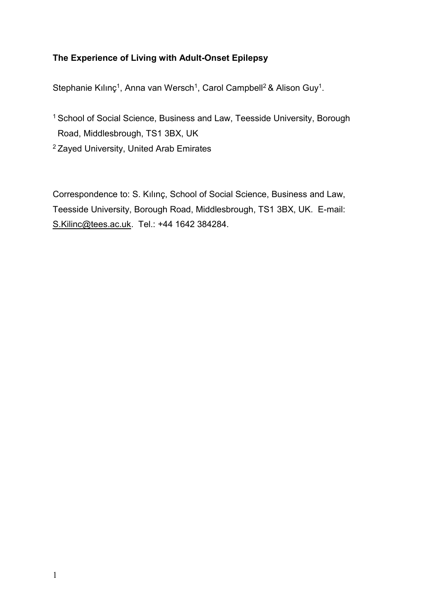# **The Experience of Living with Adult-Onset Epilepsy**

Stephanie Kılınç<sup>1</sup>, Anna van Wersch<sup>1</sup>, Carol Campbell<sup>2</sup> & Alison Guy<sup>1</sup>.

- <sup>1</sup> School of Social Science, Business and Law, Teesside University, Borough Road, Middlesbrough, TS1 3BX, UK
- <sup>2</sup>Zayed University, United Arab Emirates

Correspondence to: S. Kılınç, School of Social Science, Business and Law, Teesside University, Borough Road, Middlesbrough, TS1 3BX, UK. E-mail: [S.Kilinc@tees.ac.uk.](mailto:S.Kilinc@tees.ac.uk) Tel.: +44 1642 384284.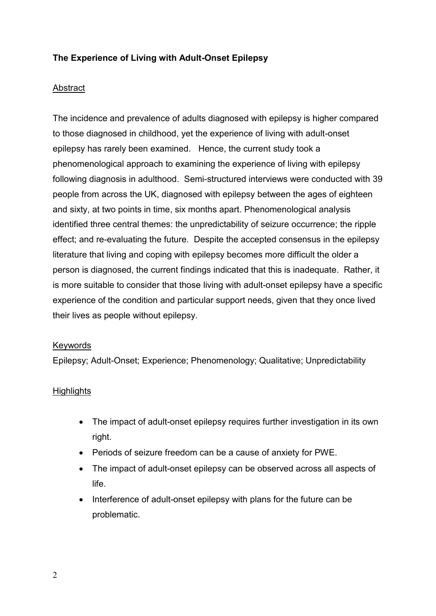# **The Experience of Living with Adult-Onset Epilepsy**

## **Abstract**

The incidence and prevalence of adults diagnosed with epilepsy is higher compared to those diagnosed in childhood, yet the experience of living with adult-onset epilepsy has rarely been examined. Hence, the current study took a phenomenological approach to examining the experience of living with epilepsy following diagnosis in adulthood. Semi-structured interviews were conducted with 39 people from across the UK, diagnosed with epilepsy between the ages of eighteen and sixty, at two points in time, six months apart. Phenomenological analysis identified three central themes: the unpredictability of seizure occurrence; the ripple effect; and re-evaluating the future. Despite the accepted consensus in the epilepsy literature that living and coping with epilepsy becomes more difficult the older a person is diagnosed, the current findings indicated that this is inadequate. Rather, it is more suitable to consider that those living with adult-onset epilepsy have a specific experience of the condition and particular support needs, given that they once lived their lives as people without epilepsy.

### **Keywords**

Epilepsy; Adult-Onset; Experience; Phenomenology; Qualitative; Unpredictability

### **Highlights**

- The impact of adult-onset epilepsy requires further investigation in its own right.
- Periods of seizure freedom can be a cause of anxiety for PWE.
- The impact of adult-onset epilepsy can be observed across all aspects of life.
- Interference of adult-onset epilepsy with plans for the future can be problematic.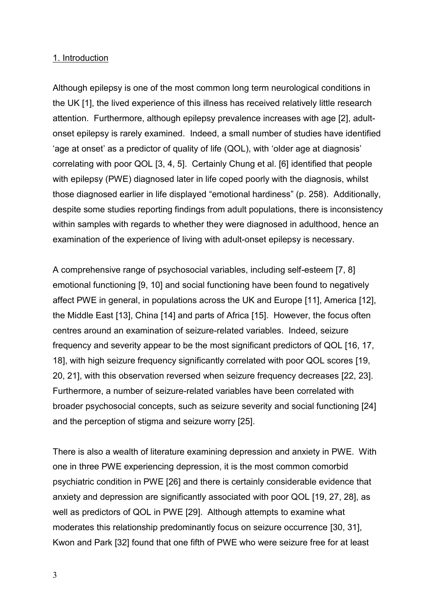#### 1. Introduction

Although epilepsy is one of the most common long term neurological conditions in the UK [1], the lived experience of this illness has received relatively little research attention. Furthermore, although epilepsy prevalence increases with age [2], adultonset epilepsy is rarely examined. Indeed, a small number of studies have identified 'age at onset' as a predictor of quality of life (QOL), with 'older age at diagnosis' correlating with poor QOL [3, 4, 5]. Certainly Chung et al. [6] identified that people with epilepsy (PWE) diagnosed later in life coped poorly with the diagnosis, whilst those diagnosed earlier in life displayed "emotional hardiness" (p. 258). Additionally, despite some studies reporting findings from adult populations, there is inconsistency within samples with regards to whether they were diagnosed in adulthood, hence an examination of the experience of living with adult-onset epilepsy is necessary.

A comprehensive range of psychosocial variables, including self-esteem [7, 8] emotional functioning [9, 10] and social functioning have been found to negatively affect PWE in general, in populations across the UK and Europe [11], America [12], the Middle East [13], China [14] and parts of Africa [15]. However, the focus often centres around an examination of seizure-related variables. Indeed, seizure frequency and severity appear to be the most significant predictors of QOL [16, 17, 18], with high seizure frequency significantly correlated with poor QOL scores [19, 20, 21], with this observation reversed when seizure frequency decreases [22, 23]. Furthermore, a number of seizure-related variables have been correlated with broader psychosocial concepts, such as seizure severity and social functioning [24] and the perception of stigma and seizure worry [25].

There is also a wealth of literature examining depression and anxiety in PWE. With one in three PWE experiencing depression, it is the most common comorbid psychiatric condition in PWE [26] and there is certainly considerable evidence that anxiety and depression are significantly associated with poor QOL [19, 27, 28], as well as predictors of QOL in PWE [29]. Although attempts to examine what moderates this relationship predominantly focus on seizure occurrence [30, 31], Kwon and Park [32] found that one fifth of PWE who were seizure free for at least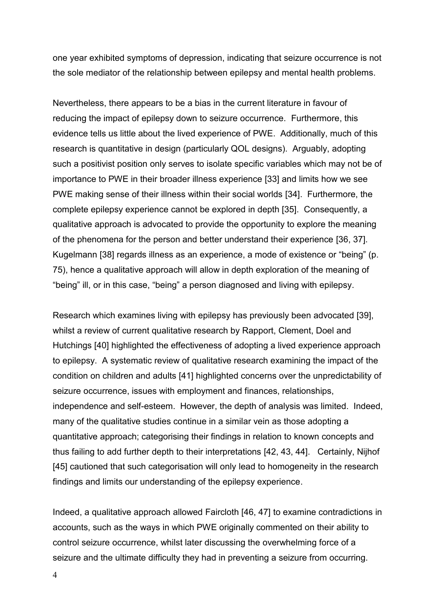one year exhibited symptoms of depression, indicating that seizure occurrence is not the sole mediator of the relationship between epilepsy and mental health problems.

Nevertheless, there appears to be a bias in the current literature in favour of reducing the impact of epilepsy down to seizure occurrence. Furthermore, this evidence tells us little about the lived experience of PWE. Additionally, much of this research is quantitative in design (particularly QOL designs). Arguably, adopting such a positivist position only serves to isolate specific variables which may not be of importance to PWE in their broader illness experience [33] and limits how we see PWE making sense of their illness within their social worlds [34]. Furthermore, the complete epilepsy experience cannot be explored in depth [35]. Consequently, a qualitative approach is advocated to provide the opportunity to explore the meaning of the phenomena for the person and better understand their experience [36, 37]. Kugelmann [38] regards illness as an experience, a mode of existence or "being" (p. 75), hence a qualitative approach will allow in depth exploration of the meaning of "being" ill, or in this case, "being" a person diagnosed and living with epilepsy.

Research which examines living with epilepsy has previously been advocated [39], whilst a review of current qualitative research by Rapport, Clement, Doel and Hutchings [40] highlighted the effectiveness of adopting a lived experience approach to epilepsy. A systematic review of qualitative research examining the impact of the condition on children and adults [41] highlighted concerns over the unpredictability of seizure occurrence, issues with employment and finances, relationships, independence and self-esteem. However, the depth of analysis was limited. Indeed, many of the qualitative studies continue in a similar vein as those adopting a quantitative approach; categorising their findings in relation to known concepts and thus failing to add further depth to their interpretations [42, 43, 44]. Certainly, Nijhof [45] cautioned that such categorisation will only lead to homogeneity in the research findings and limits our understanding of the epilepsy experience.

Indeed, a qualitative approach allowed Faircloth [46, 47] to examine contradictions in accounts, such as the ways in which PWE originally commented on their ability to control seizure occurrence, whilst later discussing the overwhelming force of a seizure and the ultimate difficulty they had in preventing a seizure from occurring.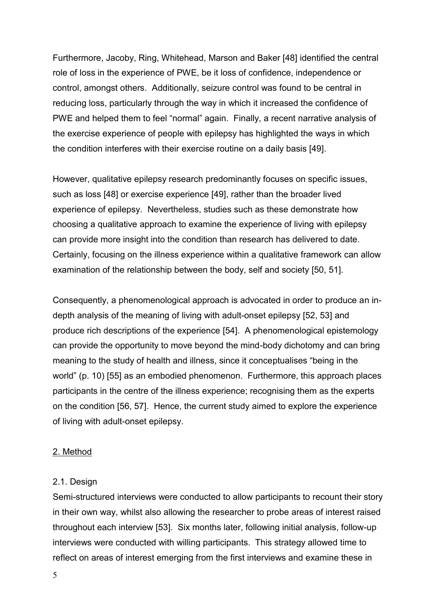Furthermore, Jacoby, Ring, Whitehead, Marson and Baker [48] identified the central role of loss in the experience of PWE, be it loss of confidence, independence or control, amongst others. Additionally, seizure control was found to be central in reducing loss, particularly through the way in which it increased the confidence of PWE and helped them to feel "normal" again. Finally, a recent narrative analysis of the exercise experience of people with epilepsy has highlighted the ways in which the condition interferes with their exercise routine on a daily basis [49].

However, qualitative epilepsy research predominantly focuses on specific issues, such as loss [48] or exercise experience [49], rather than the broader lived experience of epilepsy. Nevertheless, studies such as these demonstrate how choosing a qualitative approach to examine the experience of living with epilepsy can provide more insight into the condition than research has delivered to date. Certainly, focusing on the illness experience within a qualitative framework can allow examination of the relationship between the body, self and society [50, 51].

Consequently, a phenomenological approach is advocated in order to produce an indepth analysis of the meaning of living with adult-onset epilepsy [52, 53] and produce rich descriptions of the experience [54]. A phenomenological epistemology can provide the opportunity to move beyond the mind-body dichotomy and can bring meaning to the study of health and illness, since it conceptualises "being in the world" (p. 10) [55] as an embodied phenomenon. Furthermore, this approach places participants in the centre of the illness experience; recognising them as the experts on the condition [56, 57]. Hence, the current study aimed to explore the experience of living with adult-onset epilepsy.

### 2. Method

#### 2.1. Design

Semi-structured interviews were conducted to allow participants to recount their story in their own way, whilst also allowing the researcher to probe areas of interest raised throughout each interview [53]. Six months later, following initial analysis, follow-up interviews were conducted with willing participants. This strategy allowed time to reflect on areas of interest emerging from the first interviews and examine these in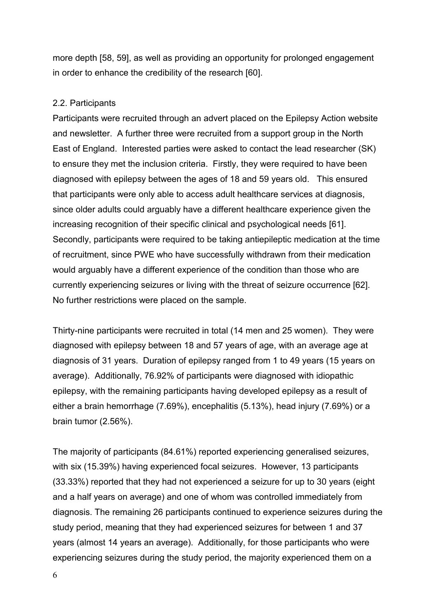more depth [58, 59], as well as providing an opportunity for prolonged engagement in order to enhance the credibility of the research [60].

## 2.2. Participants

Participants were recruited through an advert placed on the Epilepsy Action website and newsletter. A further three were recruited from a support group in the North East of England. Interested parties were asked to contact the lead researcher (SK) to ensure they met the inclusion criteria. Firstly, they were required to have been diagnosed with epilepsy between the ages of 18 and 59 years old. This ensured that participants were only able to access adult healthcare services at diagnosis, since older adults could arguably have a different healthcare experience given the increasing recognition of their specific clinical and psychological needs [61]. Secondly, participants were required to be taking antiepileptic medication at the time of recruitment, since PWE who have successfully withdrawn from their medication would arguably have a different experience of the condition than those who are currently experiencing seizures or living with the threat of seizure occurrence [62]. No further restrictions were placed on the sample.

Thirty-nine participants were recruited in total (14 men and 25 women). They were diagnosed with epilepsy between 18 and 57 years of age, with an average age at diagnosis of 31 years. Duration of epilepsy ranged from 1 to 49 years (15 years on average). Additionally, 76.92% of participants were diagnosed with idiopathic epilepsy, with the remaining participants having developed epilepsy as a result of either a brain hemorrhage (7.69%), encephalitis (5.13%), head injury (7.69%) or a brain tumor (2.56%).

The majority of participants (84.61%) reported experiencing generalised seizures, with six (15.39%) having experienced focal seizures. However, 13 participants (33.33%) reported that they had not experienced a seizure for up to 30 years (eight and a half years on average) and one of whom was controlled immediately from diagnosis. The remaining 26 participants continued to experience seizures during the study period, meaning that they had experienced seizures for between 1 and 37 years (almost 14 years an average). Additionally, for those participants who were experiencing seizures during the study period, the majority experienced them on a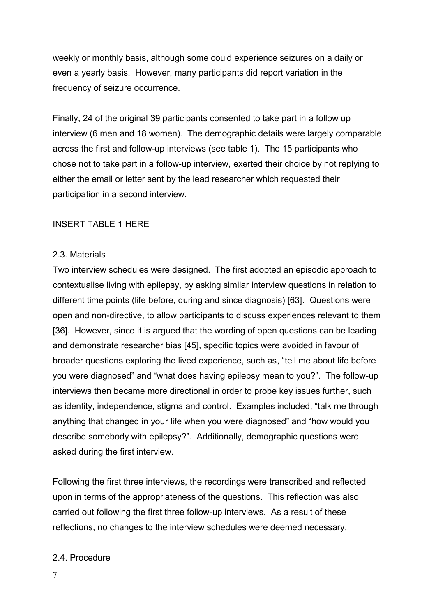weekly or monthly basis, although some could experience seizures on a daily or even a yearly basis. However, many participants did report variation in the frequency of seizure occurrence.

Finally, 24 of the original 39 participants consented to take part in a follow up interview (6 men and 18 women). The demographic details were largely comparable across the first and follow-up interviews (see table 1). The 15 participants who chose not to take part in a follow-up interview, exerted their choice by not replying to either the email or letter sent by the lead researcher which requested their participation in a second interview.

## INSERT TABLE 1 HERE

#### 2.3. Materials

Two interview schedules were designed. The first adopted an episodic approach to contextualise living with epilepsy, by asking similar interview questions in relation to different time points (life before, during and since diagnosis) [63]. Questions were open and non-directive, to allow participants to discuss experiences relevant to them [36]. However, since it is argued that the wording of open questions can be leading and demonstrate researcher bias [45], specific topics were avoided in favour of broader questions exploring the lived experience, such as, "tell me about life before you were diagnosed" and "what does having epilepsy mean to you?". The follow-up interviews then became more directional in order to probe key issues further, such as identity, independence, stigma and control. Examples included, "talk me through anything that changed in your life when you were diagnosed" and "how would you describe somebody with epilepsy?". Additionally, demographic questions were asked during the first interview.

Following the first three interviews, the recordings were transcribed and reflected upon in terms of the appropriateness of the questions. This reflection was also carried out following the first three follow-up interviews. As a result of these reflections, no changes to the interview schedules were deemed necessary.

#### 2.4. Procedure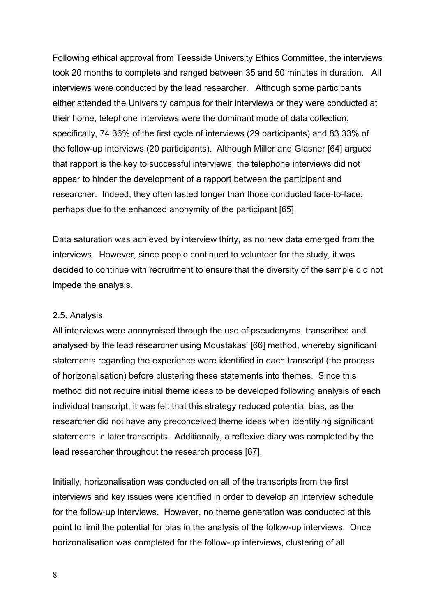Following ethical approval from Teesside University Ethics Committee, the interviews took 20 months to complete and ranged between 35 and 50 minutes in duration. All interviews were conducted by the lead researcher. Although some participants either attended the University campus for their interviews or they were conducted at their home, telephone interviews were the dominant mode of data collection; specifically, 74.36% of the first cycle of interviews (29 participants) and 83.33% of the follow-up interviews (20 participants). Although Miller and Glasner [64] argued that rapport is the key to successful interviews, the telephone interviews did not appear to hinder the development of a rapport between the participant and researcher. Indeed, they often lasted longer than those conducted face-to-face, perhaps due to the enhanced anonymity of the participant [65].

Data saturation was achieved by interview thirty, as no new data emerged from the interviews. However, since people continued to volunteer for the study, it was decided to continue with recruitment to ensure that the diversity of the sample did not impede the analysis.

### 2.5. Analysis

All interviews were anonymised through the use of pseudonyms, transcribed and analysed by the lead researcher using Moustakas' [66] method, whereby significant statements regarding the experience were identified in each transcript (the process of horizonalisation) before clustering these statements into themes. Since this method did not require initial theme ideas to be developed following analysis of each individual transcript, it was felt that this strategy reduced potential bias, as the researcher did not have any preconceived theme ideas when identifying significant statements in later transcripts. Additionally, a reflexive diary was completed by the lead researcher throughout the research process [67].

Initially, horizonalisation was conducted on all of the transcripts from the first interviews and key issues were identified in order to develop an interview schedule for the follow-up interviews. However, no theme generation was conducted at this point to limit the potential for bias in the analysis of the follow-up interviews. Once horizonalisation was completed for the follow-up interviews, clustering of all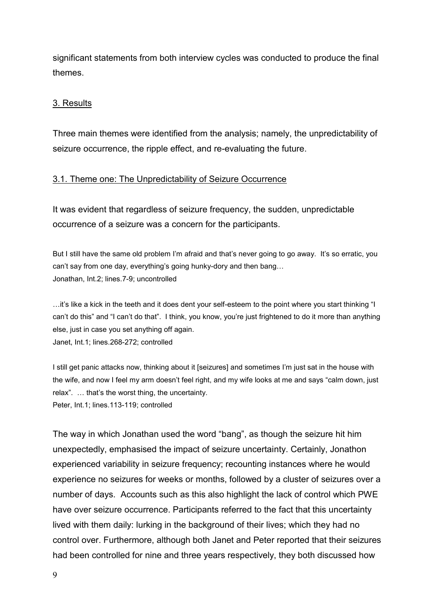significant statements from both interview cycles was conducted to produce the final themes.

## 3. Results

Three main themes were identified from the analysis; namely, the unpredictability of seizure occurrence, the ripple effect, and re-evaluating the future.

## 3.1. Theme one: The Unpredictability of Seizure Occurrence

It was evident that regardless of seizure frequency, the sudden, unpredictable occurrence of a seizure was a concern for the participants.

But I still have the same old problem I'm afraid and that's never going to go away. It's so erratic, you can't say from one day, everything's going hunky-dory and then bang… Jonathan, Int.2; lines.7-9; uncontrolled

…it's like a kick in the teeth and it does dent your self-esteem to the point where you start thinking "I can't do this" and "I can't do that". I think, you know, you're just frightened to do it more than anything else, just in case you set anything off again. Janet, Int.1; lines.268-272; controlled

I still get panic attacks now, thinking about it [seizures] and sometimes I'm just sat in the house with the wife, and now I feel my arm doesn't feel right, and my wife looks at me and says "calm down, just relax". … that's the worst thing, the uncertainty. Peter, Int.1; lines.113-119; controlled

The way in which Jonathan used the word "bang", as though the seizure hit him unexpectedly, emphasised the impact of seizure uncertainty. Certainly, Jonathon experienced variability in seizure frequency; recounting instances where he would experience no seizures for weeks or months, followed by a cluster of seizures over a number of days. Accounts such as this also highlight the lack of control which PWE have over seizure occurrence. Participants referred to the fact that this uncertainty lived with them daily: lurking in the background of their lives; which they had no control over. Furthermore, although both Janet and Peter reported that their seizures had been controlled for nine and three years respectively, they both discussed how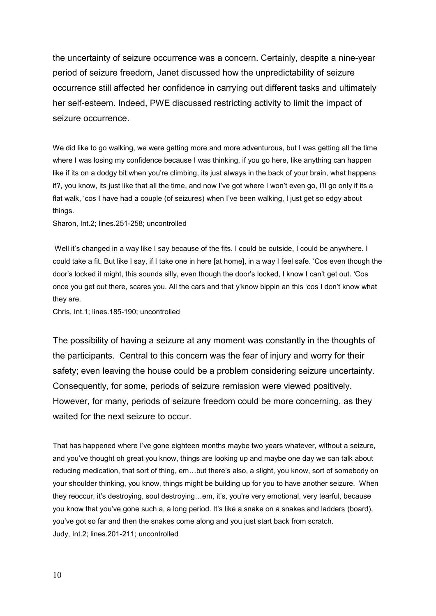the uncertainty of seizure occurrence was a concern. Certainly, despite a nine-year period of seizure freedom, Janet discussed how the unpredictability of seizure occurrence still affected her confidence in carrying out different tasks and ultimately her self-esteem. Indeed, PWE discussed restricting activity to limit the impact of seizure occurrence.

We did like to go walking, we were getting more and more adventurous, but I was getting all the time where I was losing my confidence because I was thinking, if you go here, like anything can happen like if its on a dodgy bit when you're climbing, its just always in the back of your brain, what happens if?, you know, its just like that all the time, and now I've got where I won't even go, I'll go only if its a flat walk, 'cos I have had a couple (of seizures) when I've been walking, I just get so edgy about things.

Sharon, Int.2; lines.251-258; uncontrolled

Well it's changed in a way like I say because of the fits. I could be outside, I could be anywhere. I could take a fit. But like I say, if I take one in here [at home], in a way I feel safe. 'Cos even though the door's locked it might, this sounds silly, even though the door's locked, I know I can't get out. 'Cos once you get out there, scares you. All the cars and that y'know bippin an this 'cos I don't know what they are.

Chris, Int.1; lines.185-190; uncontrolled

The possibility of having a seizure at any moment was constantly in the thoughts of the participants. Central to this concern was the fear of injury and worry for their safety; even leaving the house could be a problem considering seizure uncertainty. Consequently, for some, periods of seizure remission were viewed positively. However, for many, periods of seizure freedom could be more concerning, as they waited for the next seizure to occur.

That has happened where I've gone eighteen months maybe two years whatever, without a seizure, and you've thought oh great you know, things are looking up and maybe one day we can talk about reducing medication, that sort of thing, em…but there's also, a slight, you know, sort of somebody on your shoulder thinking, you know, things might be building up for you to have another seizure. When they reoccur, it's destroying, soul destroying…em, it's, you're very emotional, very tearful, because you know that you've gone such a, a long period. It's like a snake on a snakes and ladders (board), you've got so far and then the snakes come along and you just start back from scratch. Judy, Int.2; lines.201-211; uncontrolled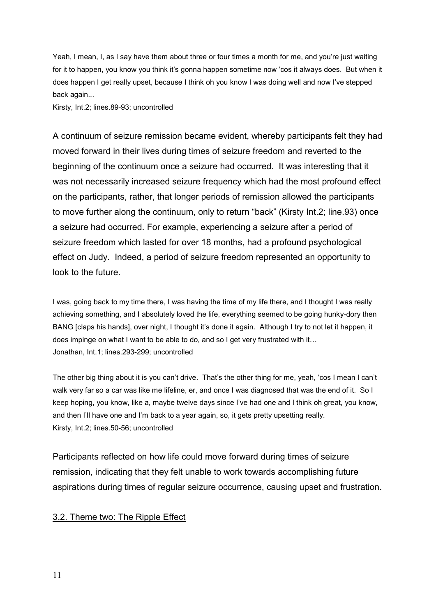Yeah, I mean, I, as I say have them about three or four times a month for me, and you're just waiting for it to happen, you know you think it's gonna happen sometime now 'cos it always does. But when it does happen I get really upset, because I think oh you know I was doing well and now I've stepped back again...

Kirsty, Int.2; lines.89-93; uncontrolled

A continuum of seizure remission became evident, whereby participants felt they had moved forward in their lives during times of seizure freedom and reverted to the beginning of the continuum once a seizure had occurred. It was interesting that it was not necessarily increased seizure frequency which had the most profound effect on the participants, rather, that longer periods of remission allowed the participants to move further along the continuum, only to return "back" (Kirsty Int.2; line.93) once a seizure had occurred. For example, experiencing a seizure after a period of seizure freedom which lasted for over 18 months, had a profound psychological effect on Judy. Indeed, a period of seizure freedom represented an opportunity to look to the future.

I was, going back to my time there, I was having the time of my life there, and I thought I was really achieving something, and I absolutely loved the life, everything seemed to be going hunky-dory then BANG [claps his hands], over night, I thought it's done it again. Although I try to not let it happen, it does impinge on what I want to be able to do, and so I get very frustrated with it… Jonathan, Int.1; lines.293-299; uncontrolled

The other big thing about it is you can't drive. That's the other thing for me, yeah, 'cos I mean I can't walk very far so a car was like me lifeline, er, and once I was diagnosed that was the end of it. So I keep hoping, you know, like a, maybe twelve days since I've had one and I think oh great, you know, and then I'll have one and I'm back to a year again, so, it gets pretty upsetting really. Kirsty, Int.2; lines.50-56; uncontrolled

Participants reflected on how life could move forward during times of seizure remission, indicating that they felt unable to work towards accomplishing future aspirations during times of regular seizure occurrence, causing upset and frustration.

### 3.2. Theme two: The Ripple Effect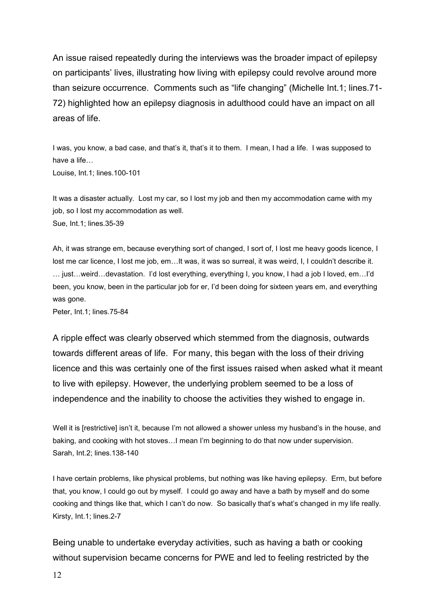An issue raised repeatedly during the interviews was the broader impact of epilepsy on participants' lives, illustrating how living with epilepsy could revolve around more than seizure occurrence. Comments such as "life changing" (Michelle Int.1; lines.71- 72) highlighted how an epilepsy diagnosis in adulthood could have an impact on all areas of life.

I was, you know, a bad case, and that's it, that's it to them. I mean, I had a life. I was supposed to have a life…

Louise, Int.1; lines.100-101

It was a disaster actually. Lost my car, so I lost my job and then my accommodation came with my job, so I lost my accommodation as well. Sue, Int.1; lines.35-39

Ah, it was strange em, because everything sort of changed, I sort of, I lost me heavy goods licence, I lost me car licence, I lost me job, em…It was, it was so surreal, it was weird, I, I couldn't describe it. … just…weird…devastation. I'd lost everything, everything I, you know, I had a job I loved, em…I'd been, you know, been in the particular job for er, I'd been doing for sixteen years em, and everything was gone.

Peter, Int.1; lines.75-84

A ripple effect was clearly observed which stemmed from the diagnosis, outwards towards different areas of life. For many, this began with the loss of their driving licence and this was certainly one of the first issues raised when asked what it meant to live with epilepsy. However, the underlying problem seemed to be a loss of independence and the inability to choose the activities they wished to engage in.

Well it is [restrictive] isn't it, because I'm not allowed a shower unless my husband's in the house, and baking, and cooking with hot stoves…I mean I'm beginning to do that now under supervision. Sarah, Int.2; lines.138-140

I have certain problems, like physical problems, but nothing was like having epilepsy. Erm, but before that, you know, I could go out by myself. I could go away and have a bath by myself and do some cooking and things like that, which I can't do now. So basically that's what's changed in my life really. Kirsty, Int.1; lines.2-7

Being unable to undertake everyday activities, such as having a bath or cooking without supervision became concerns for PWE and led to feeling restricted by the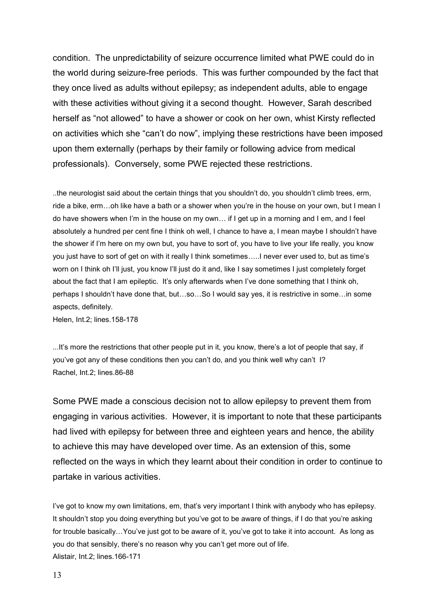condition. The unpredictability of seizure occurrence limited what PWE could do in the world during seizure-free periods. This was further compounded by the fact that they once lived as adults without epilepsy; as independent adults, able to engage with these activities without giving it a second thought. However, Sarah described herself as "not allowed" to have a shower or cook on her own, whist Kirsty reflected on activities which she "can't do now", implying these restrictions have been imposed upon them externally (perhaps by their family or following advice from medical professionals). Conversely, some PWE rejected these restrictions.

..the neurologist said about the certain things that you shouldn't do, you shouldn't climb trees, erm, ride a bike, erm…oh like have a bath or a shower when you're in the house on your own, but I mean I do have showers when I'm in the house on my own… if I get up in a morning and I em, and I feel absolutely a hundred per cent fine I think oh well, I chance to have a, I mean maybe I shouldn't have the shower if I'm here on my own but, you have to sort of, you have to live your life really, you know you just have to sort of get on with it really I think sometimes…..I never ever used to, but as time's worn on I think oh I'll just, you know I'll just do it and, like I say sometimes I just completely forget about the fact that I am epileptic. It's only afterwards when I've done something that I think oh, perhaps I shouldn't have done that, but…so…So I would say yes, it is restrictive in some…in some aspects, definitely. Helen, Int.2; lines.158-178

...It's more the restrictions that other people put in it, you know, there's a lot of people that say, if you've got any of these conditions then you can't do, and you think well why can't I? Rachel, Int.2; lines.86-88

Some PWE made a conscious decision not to allow epilepsy to prevent them from engaging in various activities. However, it is important to note that these participants had lived with epilepsy for between three and eighteen years and hence, the ability to achieve this may have developed over time. As an extension of this, some reflected on the ways in which they learnt about their condition in order to continue to partake in various activities.

I've got to know my own limitations, em, that's very important I think with anybody who has epilepsy. It shouldn't stop you doing everything but you've got to be aware of things, if I do that you're asking for trouble basically…You've just got to be aware of it, you've got to take it into account. As long as you do that sensibly, there's no reason why you can't get more out of life. Alistair, Int.2; lines.166-171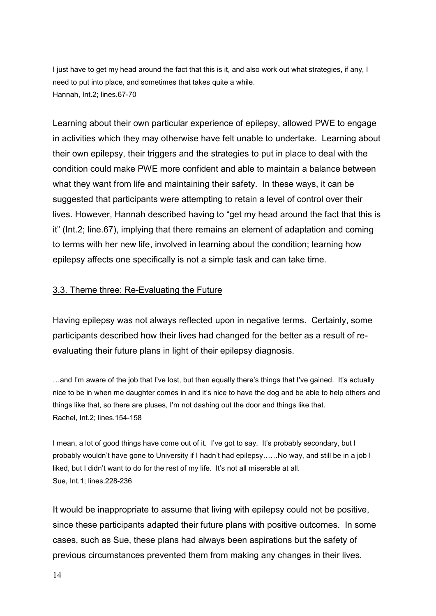I just have to get my head around the fact that this is it, and also work out what strategies, if any, I need to put into place, and sometimes that takes quite a while. Hannah, Int.2; lines.67-70

Learning about their own particular experience of epilepsy, allowed PWE to engage in activities which they may otherwise have felt unable to undertake. Learning about their own epilepsy, their triggers and the strategies to put in place to deal with the condition could make PWE more confident and able to maintain a balance between what they want from life and maintaining their safety. In these ways, it can be suggested that participants were attempting to retain a level of control over their lives. However, Hannah described having to "get my head around the fact that this is it" (Int.2; line.67), implying that there remains an element of adaptation and coming to terms with her new life, involved in learning about the condition; learning how epilepsy affects one specifically is not a simple task and can take time.

### 3.3. Theme three: Re-Evaluating the Future

Having epilepsy was not always reflected upon in negative terms. Certainly, some participants described how their lives had changed for the better as a result of reevaluating their future plans in light of their epilepsy diagnosis.

…and I'm aware of the job that I've lost, but then equally there's things that I've gained. It's actually nice to be in when me daughter comes in and it's nice to have the dog and be able to help others and things like that, so there are pluses, I'm not dashing out the door and things like that. Rachel, Int.2; lines.154-158

I mean, a lot of good things have come out of it. I've got to say. It's probably secondary, but I probably wouldn't have gone to University if I hadn't had epilepsy……No way, and still be in a job I liked, but I didn't want to do for the rest of my life. It's not all miserable at all. Sue, Int.1; lines.228-236

It would be inappropriate to assume that living with epilepsy could not be positive, since these participants adapted their future plans with positive outcomes. In some cases, such as Sue, these plans had always been aspirations but the safety of previous circumstances prevented them from making any changes in their lives.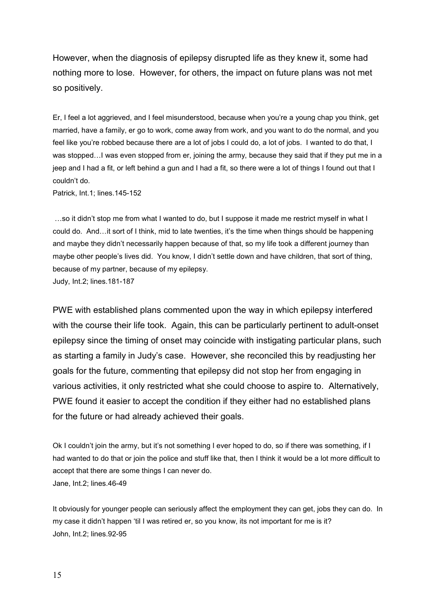However, when the diagnosis of epilepsy disrupted life as they knew it, some had nothing more to lose. However, for others, the impact on future plans was not met so positively.

Er, I feel a lot aggrieved, and I feel misunderstood, because when you're a young chap you think, get married, have a family, er go to work, come away from work, and you want to do the normal, and you feel like you're robbed because there are a lot of jobs I could do, a lot of jobs. I wanted to do that, I was stopped...I was even stopped from er, joining the army, because they said that if they put me in a jeep and I had a fit, or left behind a gun and I had a fit, so there were a lot of things I found out that I couldn't do.

Patrick, Int.1; lines.145-152

 …so it didn't stop me from what I wanted to do, but I suppose it made me restrict myself in what I could do. And…it sort of I think, mid to late twenties, it's the time when things should be happening and maybe they didn't necessarily happen because of that, so my life took a different journey than maybe other people's lives did. You know, I didn't settle down and have children, that sort of thing, because of my partner, because of my epilepsy. Judy, Int.2; lines.181-187

PWE with established plans commented upon the way in which epilepsy interfered with the course their life took. Again, this can be particularly pertinent to adult-onset epilepsy since the timing of onset may coincide with instigating particular plans, such as starting a family in Judy's case. However, she reconciled this by readjusting her goals for the future, commenting that epilepsy did not stop her from engaging in various activities, it only restricted what she could choose to aspire to. Alternatively, PWE found it easier to accept the condition if they either had no established plans for the future or had already achieved their goals.

Ok I couldn't join the army, but it's not something I ever hoped to do, so if there was something, if I had wanted to do that or join the police and stuff like that, then I think it would be a lot more difficult to accept that there are some things I can never do. Jane, Int.2; lines.46-49

It obviously for younger people can seriously affect the employment they can get, jobs they can do. In my case it didn't happen 'til I was retired er, so you know, its not important for me is it? John, Int.2; lines.92-95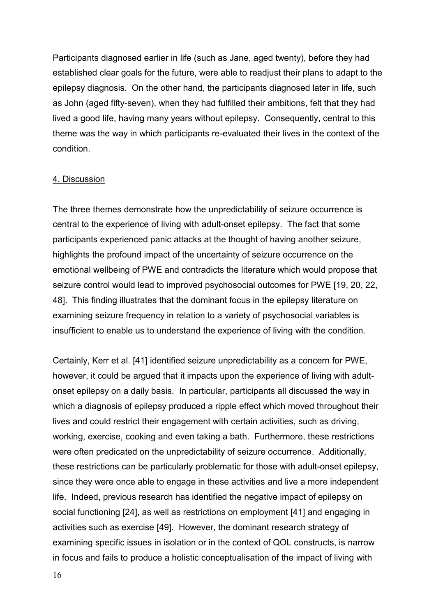Participants diagnosed earlier in life (such as Jane, aged twenty), before they had established clear goals for the future, were able to readjust their plans to adapt to the epilepsy diagnosis. On the other hand, the participants diagnosed later in life, such as John (aged fifty-seven), when they had fulfilled their ambitions, felt that they had lived a good life, having many years without epilepsy. Consequently, central to this theme was the way in which participants re-evaluated their lives in the context of the condition.

#### 4. Discussion

The three themes demonstrate how the unpredictability of seizure occurrence is central to the experience of living with adult-onset epilepsy. The fact that some participants experienced panic attacks at the thought of having another seizure, highlights the profound impact of the uncertainty of seizure occurrence on the emotional wellbeing of PWE and contradicts the literature which would propose that seizure control would lead to improved psychosocial outcomes for PWE [19, 20, 22, 48]. This finding illustrates that the dominant focus in the epilepsy literature on examining seizure frequency in relation to a variety of psychosocial variables is insufficient to enable us to understand the experience of living with the condition.

Certainly, Kerr et al. [41] identified seizure unpredictability as a concern for PWE, however, it could be argued that it impacts upon the experience of living with adultonset epilepsy on a daily basis. In particular, participants all discussed the way in which a diagnosis of epilepsy produced a ripple effect which moved throughout their lives and could restrict their engagement with certain activities, such as driving, working, exercise, cooking and even taking a bath. Furthermore, these restrictions were often predicated on the unpredictability of seizure occurrence. Additionally, these restrictions can be particularly problematic for those with adult-onset epilepsy, since they were once able to engage in these activities and live a more independent life. Indeed, previous research has identified the negative impact of epilepsy on social functioning [24], as well as restrictions on employment [41] and engaging in activities such as exercise [49]. However, the dominant research strategy of examining specific issues in isolation or in the context of QOL constructs, is narrow in focus and fails to produce a holistic conceptualisation of the impact of living with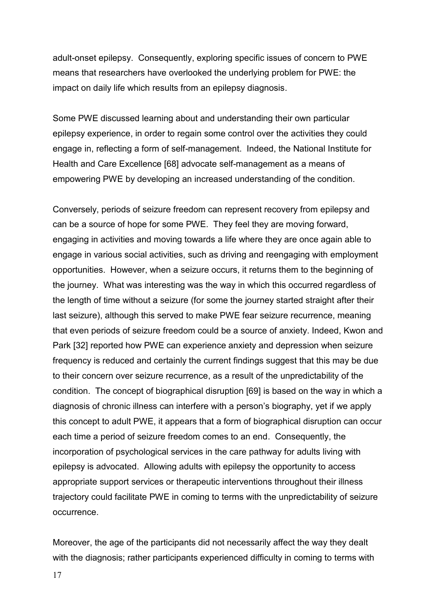adult-onset epilepsy. Consequently, exploring specific issues of concern to PWE means that researchers have overlooked the underlying problem for PWE: the impact on daily life which results from an epilepsy diagnosis.

Some PWE discussed learning about and understanding their own particular epilepsy experience, in order to regain some control over the activities they could engage in, reflecting a form of self-management. Indeed, the National Institute for Health and Care Excellence [68] advocate self-management as a means of empowering PWE by developing an increased understanding of the condition.

Conversely, periods of seizure freedom can represent recovery from epilepsy and can be a source of hope for some PWE. They feel they are moving forward, engaging in activities and moving towards a life where they are once again able to engage in various social activities, such as driving and reengaging with employment opportunities. However, when a seizure occurs, it returns them to the beginning of the journey. What was interesting was the way in which this occurred regardless of the length of time without a seizure (for some the journey started straight after their last seizure), although this served to make PWE fear seizure recurrence, meaning that even periods of seizure freedom could be a source of anxiety. Indeed, Kwon and Park [32] reported how PWE can experience anxiety and depression when seizure frequency is reduced and certainly the current findings suggest that this may be due to their concern over seizure recurrence, as a result of the unpredictability of the condition. The concept of biographical disruption [69] is based on the way in which a diagnosis of chronic illness can interfere with a person's biography, yet if we apply this concept to adult PWE, it appears that a form of biographical disruption can occur each time a period of seizure freedom comes to an end. Consequently, the incorporation of psychological services in the care pathway for adults living with epilepsy is advocated. Allowing adults with epilepsy the opportunity to access appropriate support services or therapeutic interventions throughout their illness trajectory could facilitate PWE in coming to terms with the unpredictability of seizure occurrence.

Moreover, the age of the participants did not necessarily affect the way they dealt with the diagnosis; rather participants experienced difficulty in coming to terms with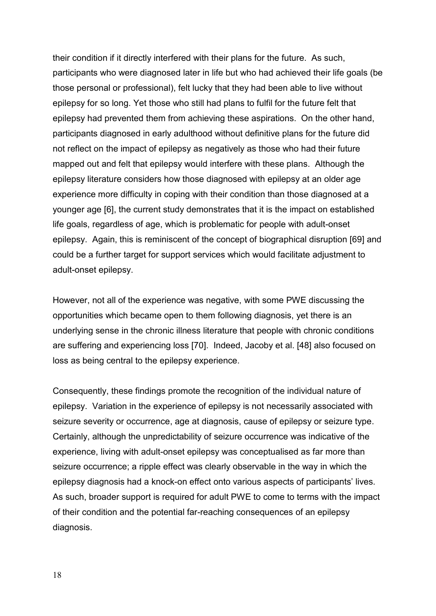their condition if it directly interfered with their plans for the future. As such, participants who were diagnosed later in life but who had achieved their life goals (be those personal or professional), felt lucky that they had been able to live without epilepsy for so long. Yet those who still had plans to fulfil for the future felt that epilepsy had prevented them from achieving these aspirations. On the other hand, participants diagnosed in early adulthood without definitive plans for the future did not reflect on the impact of epilepsy as negatively as those who had their future mapped out and felt that epilepsy would interfere with these plans. Although the epilepsy literature considers how those diagnosed with epilepsy at an older age experience more difficulty in coping with their condition than those diagnosed at a younger age [6], the current study demonstrates that it is the impact on established life goals, regardless of age, which is problematic for people with adult-onset epilepsy. Again, this is reminiscent of the concept of biographical disruption [69] and could be a further target for support services which would facilitate adjustment to adult-onset epilepsy.

However, not all of the experience was negative, with some PWE discussing the opportunities which became open to them following diagnosis, yet there is an underlying sense in the chronic illness literature that people with chronic conditions are suffering and experiencing loss [70]. Indeed, Jacoby et al. [48] also focused on loss as being central to the epilepsy experience.

Consequently, these findings promote the recognition of the individual nature of epilepsy. Variation in the experience of epilepsy is not necessarily associated with seizure severity or occurrence, age at diagnosis, cause of epilepsy or seizure type. Certainly, although the unpredictability of seizure occurrence was indicative of the experience, living with adult-onset epilepsy was conceptualised as far more than seizure occurrence; a ripple effect was clearly observable in the way in which the epilepsy diagnosis had a knock-on effect onto various aspects of participants' lives. As such, broader support is required for adult PWE to come to terms with the impact of their condition and the potential far-reaching consequences of an epilepsy diagnosis.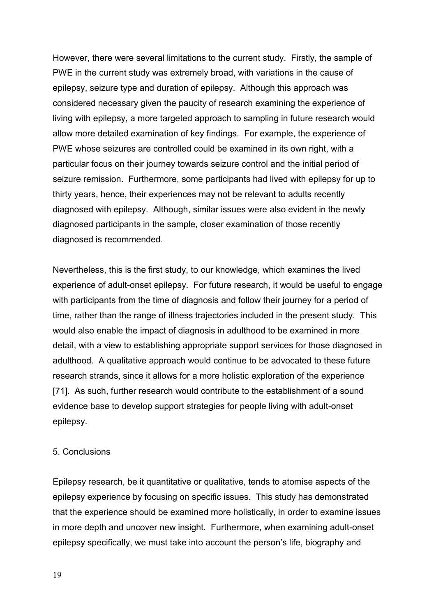However, there were several limitations to the current study. Firstly, the sample of PWE in the current study was extremely broad, with variations in the cause of epilepsy, seizure type and duration of epilepsy. Although this approach was considered necessary given the paucity of research examining the experience of living with epilepsy, a more targeted approach to sampling in future research would allow more detailed examination of key findings. For example, the experience of PWE whose seizures are controlled could be examined in its own right, with a particular focus on their journey towards seizure control and the initial period of seizure remission. Furthermore, some participants had lived with epilepsy for up to thirty years, hence, their experiences may not be relevant to adults recently diagnosed with epilepsy. Although, similar issues were also evident in the newly diagnosed participants in the sample, closer examination of those recently diagnosed is recommended.

Nevertheless, this is the first study, to our knowledge, which examines the lived experience of adult-onset epilepsy. For future research, it would be useful to engage with participants from the time of diagnosis and follow their journey for a period of time, rather than the range of illness trajectories included in the present study. This would also enable the impact of diagnosis in adulthood to be examined in more detail, with a view to establishing appropriate support services for those diagnosed in adulthood. A qualitative approach would continue to be advocated to these future research strands, since it allows for a more holistic exploration of the experience [71]. As such, further research would contribute to the establishment of a sound evidence base to develop support strategies for people living with adult-onset epilepsy.

### 5. Conclusions

Epilepsy research, be it quantitative or qualitative, tends to atomise aspects of the epilepsy experience by focusing on specific issues. This study has demonstrated that the experience should be examined more holistically, in order to examine issues in more depth and uncover new insight. Furthermore, when examining adult-onset epilepsy specifically, we must take into account the person's life, biography and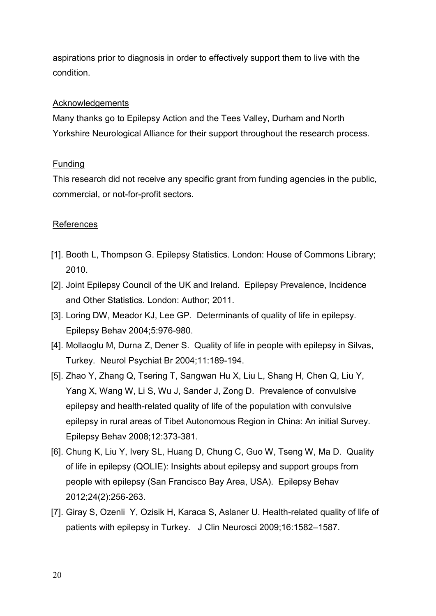aspirations prior to diagnosis in order to effectively support them to live with the condition.

## Acknowledgements

Many thanks go to Epilepsy Action and the Tees Valley, Durham and North Yorkshire Neurological Alliance for their support throughout the research process.

## Funding

This research did not receive any specific grant from funding agencies in the public, commercial, or not-for-profit sectors.

## **References**

- [1]. Booth L, Thompson G. Epilepsy Statistics. London: House of Commons Library; 2010.
- [2]. Joint Epilepsy Council of the UK and Ireland. Epilepsy Prevalence, Incidence and Other Statistics. London: Author; 2011.
- [3]. Loring DW, Meador KJ, Lee GP. Determinants of quality of life in epilepsy. Epilepsy Behav 2004;5:976-980.
- [4]. Mollaoglu M, Durna Z, Dener S. Quality of life in people with epilepsy in Silvas, Turkey. Neurol Psychiat Br 2004;11:189-194.
- [5]. Zhao Y, Zhang Q, Tsering T, Sangwan Hu X, Liu L, Shang H, Chen Q, Liu Y, Yang X, Wang W, Li S, Wu J, Sander J, Zong D. Prevalence of convulsive epilepsy and health-related quality of life of the population with convulsive epilepsy in rural areas of Tibet Autonomous Region in China: An initial Survey. Epilepsy Behav 2008;12:373-381.
- [6]. Chung K, Liu Y, Ivery SL, Huang D, Chung C, Guo W, Tseng W, Ma D. Quality of life in epilepsy (QOLIE): Insights about epilepsy and support groups from people with epilepsy (San Francisco Bay Area, USA). Epilepsy Behav 2012;24(2):256-263.
- [7]. Giray S, Ozenli Y, Ozisik H, Karaca S, Aslaner U. Health-related quality of life of patients with epilepsy in Turkey. J Clin Neurosci 2009;16:1582–1587.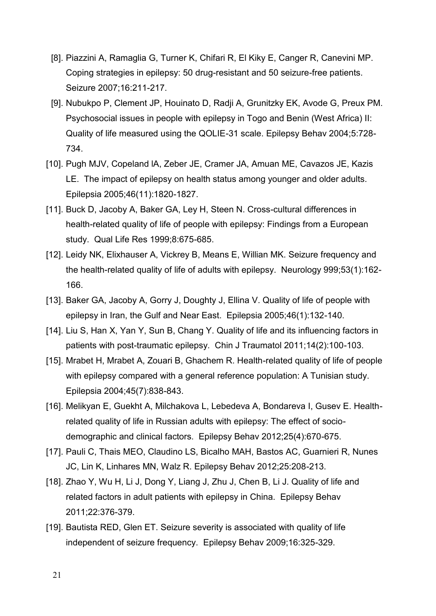- [8]. Piazzini A, Ramaglia G, Turner K, Chifari R, El Kiky E, Canger R, Canevini MP. Coping strategies in epilepsy: 50 drug-resistant and 50 seizure-free patients. Seizure 2007;16:211-217.
- [9]. Nubukpo P, Clement JP, Houinato D, Radji A, Grunitzky EK, Avode G, Preux PM. Psychosocial issues in people with epilepsy in Togo and Benin (West Africa) II: Quality of life measured using the QOLIE-31 scale. Epilepsy Behav 2004;5:728- 734.
- [10]. Pugh MJV, Copeland lA, Zeber JE, Cramer JA, Amuan ME, Cavazos JE, Kazis LE. The impact of epilepsy on health status among younger and older adults. Epilepsia 2005;46(11):1820-1827.
- [11]. Buck D, Jacoby A, Baker GA, Ley H, Steen N. Cross-cultural differences in health-related quality of life of people with epilepsy: Findings from a European study. Qual Life Res 1999;8:675-685.
- [12]. Leidy NK, Elixhauser A, Vickrey B, Means E, Willian MK. Seizure frequency and the health-related quality of life of adults with epilepsy. Neurology 999;53(1):162- 166.
- [13]. Baker GA, Jacoby A, Gorry J, Doughty J, Ellina V. Quality of life of people with epilepsy in Iran, the Gulf and Near East. Epilepsia 2005;46(1):132-140.
- [14]. Liu S, Han X, Yan Y, Sun B, Chang Y. Quality of life and its influencing factors in patients with post-traumatic epilepsy. Chin J Traumatol 2011;14(2):100-103.
- [15]. Mrabet H, Mrabet A, Zouari B, Ghachem R. Health-related quality of life of people with epilepsy compared with a general reference population: A Tunisian study. Epilepsia 2004;45(7):838-843.
- [16]. Melikyan E, Guekht A, Milchakova L, Lebedeva A, Bondareva I, Gusev E. Healthrelated quality of life in Russian adults with epilepsy: The effect of sociodemographic and clinical factors. Epilepsy Behav 2012;25(4):670-675.
- [17]. Pauli C, Thais MEO, Claudino LS, Bicalho MAH, Bastos AC, Guarnieri R, Nunes JC, Lin K, Linhares MN, Walz R. Epilepsy Behav 2012;25:208-213.
- [18]. Zhao Y, Wu H, Li J, Dong Y, Liang J, Zhu J, Chen B, Li J. Quality of life and related factors in adult patients with epilepsy in China. Epilepsy Behav 2011;22:376-379.
- [19]. Bautista RED, Glen ET. Seizure severity is associated with quality of life independent of seizure frequency. Epilepsy Behav 2009;16:325-329.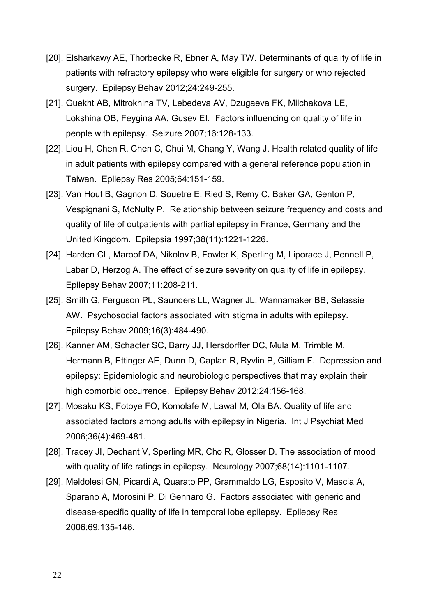- [20]. Elsharkawy AE, Thorbecke R, Ebner A, May TW. Determinants of quality of life in patients with refractory epilepsy who were eligible for surgery or who rejected surgery. Epilepsy Behav 2012;24:249-255.
- [21]. Guekht AB, Mitrokhina TV, Lebedeva AV, Dzugaeva FK, Milchakova LE, Lokshina OB, Feygina AA, Gusev EI. Factors influencing on quality of life in people with epilepsy. Seizure 2007;16:128-133.
- [22]. Liou H, Chen R, Chen C, Chui M, Chang Y, Wang J. Health related quality of life in adult patients with epilepsy compared with a general reference population in Taiwan. Epilepsy Res 2005;64:151-159.
- [23]. Van Hout B, Gagnon D, Souetre E, Ried S, Remy C, Baker GA, Genton P, Vespignani S, McNulty P. Relationship between seizure frequency and costs and quality of life of outpatients with partial epilepsy in France, Germany and the United Kingdom. Epilepsia 1997;38(11):1221-1226.
- [24]. Harden CL, Maroof DA, Nikolov B, Fowler K, Sperling M, Liporace J, Pennell P, Labar D, Herzog A. The effect of seizure severity on quality of life in epilepsy. Epilepsy Behav 2007;11:208-211.
- [25]. Smith G, Ferguson PL, Saunders LL, Wagner JL, Wannamaker BB, Selassie AW. Psychosocial factors associated with stigma in adults with epilepsy. Epilepsy Behav 2009;16(3):484-490.
- [26]. Kanner AM, Schacter SC, Barry JJ, Hersdorffer DC, Mula M, Trimble M, Hermann B, Ettinger AE, Dunn D, Caplan R, Ryvlin P, Gilliam F. Depression and epilepsy: Epidemiologic and neurobiologic perspectives that may explain their high comorbid occurrence. Epilepsy Behav 2012;24:156-168.
- [27]. Mosaku KS, Fotoye FO, Komolafe M, Lawal M, Ola BA. Quality of life and associated factors among adults with epilepsy in Nigeria. Int J Psychiat Med 2006;36(4):469-481.
- [28]. Tracey JI, Dechant V, Sperling MR, Cho R, Glosser D. The association of mood with quality of life ratings in epilepsy. Neurology 2007;68(14):1101-1107.
- [29]. Meldolesi GN, Picardi A, Quarato PP, Grammaldo LG, Esposito V, Mascia A, Sparano A, Morosini P, Di Gennaro G. Factors associated with generic and disease-specific quality of life in temporal lobe epilepsy. Epilepsy Res 2006;69:135-146.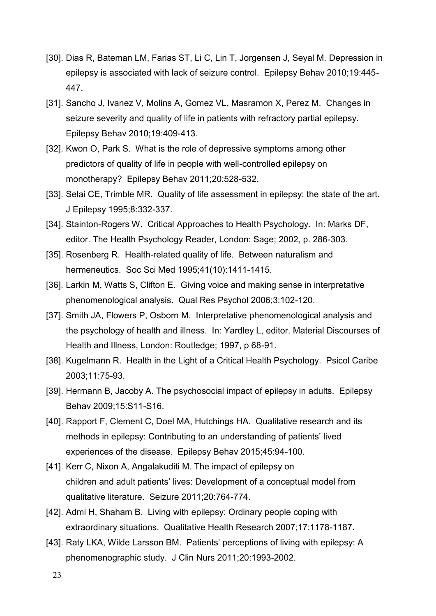- [30]. Dias R, Bateman LM, Farias ST, Li C, Lin T, Jorgensen J, Seyal M. Depression in epilepsy is associated with lack of seizure control. Epilepsy Behav 2010;19:445- 447.
- [31]. Sancho J, Ivanez V, Molins A, Gomez VL, Masramon X, Perez M. Changes in seizure severity and quality of life in patients with refractory partial epilepsy. Epilepsy Behav 2010;19:409-413.
- [32]. Kwon O, Park S. What is the role of depressive symptoms among other predictors of quality of life in people with well-controlled epilepsy on monotherapy? Epilepsy Behav 2011;20:528-532.
- [33]. Selai CE, Trimble MR. Quality of life assessment in epilepsy: the state of the art. J Epilepsy 1995;8:332-337.
- [34]. Stainton-Rogers W. Critical Approaches to Health Psychology. In: Marks DF, editor. The Health Psychology Reader, London: Sage; 2002, p. 286-303.
- [35]. Rosenberg R. Health-related quality of life. Between naturalism and hermeneutics. Soc Sci Med 1995;41(10):1411-1415.
- [36]. Larkin M, Watts S, Clifton E. Giving voice and making sense in interpretative phenomenological analysis. Qual Res Psychol 2006;3:102-120.
- [37]. Smith JA, Flowers P, Osborn M. Interpretative phenomenological analysis and the psychology of health and illness. In: Yardley L, editor. Material Discourses of Health and Illness, London: Routledge; 1997, p 68-91.
- [38]. Kugelmann R. Health in the Light of a Critical Health Psychology. Psicol Caribe 2003;11:75-93.
- [39]. Hermann B, Jacoby A. The psychosocial impact of epilepsy in adults. Epilepsy Behav 2009;15:S11-S16.
- [40]. Rapport F, Clement C, Doel MA, Hutchings HA. Qualitative research and its methods in epilepsy: Contributing to an understanding of patients' lived experiences of the disease. Epilepsy Behav 2015;45:94-100.
- [41]. Kerr C, Nixon A, Angalakuditi M. The impact of epilepsy on children and adult patients' lives: Development of a conceptual model from qualitative literature. Seizure 2011;20:764-774.
- [42]. Admi H, Shaham B. Living with epilepsy: Ordinary people coping with extraordinary situations. Qualitative Health Research 2007;17:1178-1187.
- [43]. Raty LKA, Wilde Larsson BM. Patients' perceptions of living with epilepsy: A phenomenographic study. J Clin Nurs 2011;20:1993-2002.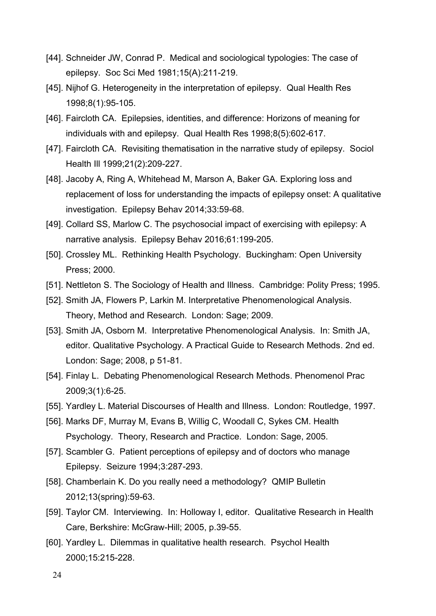- [44]. Schneider JW, Conrad P. Medical and sociological typologies: The case of epilepsy. Soc Sci Med 1981;15(A):211-219.
- [45]. Nijhof G. Heterogeneity in the interpretation of epilepsy. Qual Health Res 1998;8(1):95-105.
- [46]. Faircloth CA. Epilepsies, identities, and difference: Horizons of meaning for individuals with and epilepsy. Qual Health Res 1998;8(5):602-617.
- [47]. Faircloth CA. Revisiting thematisation in the narrative study of epilepsy. Sociol Health Ill 1999;21(2):209-227.
- [48]. Jacoby A, Ring A, Whitehead M, Marson A, Baker GA. Exploring loss and replacement of loss for understanding the impacts of epilepsy onset: A qualitative investigation. Epilepsy Behav 2014;33:59-68.
- [49]. Collard SS, Marlow C. The psychosocial impact of exercising with epilepsy: A narrative analysis. Epilepsy Behav 2016;61:199-205.
- [50]. Crossley ML. Rethinking Health Psychology. Buckingham: Open University Press; 2000.
- [51]. Nettleton S. The Sociology of Health and Illness. Cambridge: Polity Press; 1995.
- [52]. Smith JA, Flowers P, Larkin M. Interpretative Phenomenological Analysis. Theory, Method and Research. London: Sage; 2009.
- [53]. Smith JA, Osborn M. Interpretative Phenomenological Analysis. In: Smith JA, editor. Qualitative Psychology. A Practical Guide to Research Methods. 2nd ed. London: Sage; 2008, p 51-81.
- [54]. Finlay L. Debating Phenomenological Research Methods. Phenomenol Prac 2009;3(1):6-25.
- [55]. Yardley L. Material Discourses of Health and Illness. London: Routledge, 1997.
- [56]. Marks DF, Murray M, Evans B, Willig C, Woodall C, Sykes CM. Health Psychology. Theory, Research and Practice. London: Sage, 2005.
- [57]. Scambler G. Patient perceptions of epilepsy and of doctors who manage Epilepsy. Seizure 1994;3:287-293.
- [58]. Chamberlain K. Do you really need a methodology? QMIP Bulletin 2012;13(spring):59-63.
- [59]. Taylor CM. Interviewing. In: Holloway I, editor. Qualitative Research in Health Care, Berkshire: McGraw-Hill; 2005, p.39-55.
- [60]. Yardley L. Dilemmas in qualitative health research. Psychol Health 2000;15:215-228.